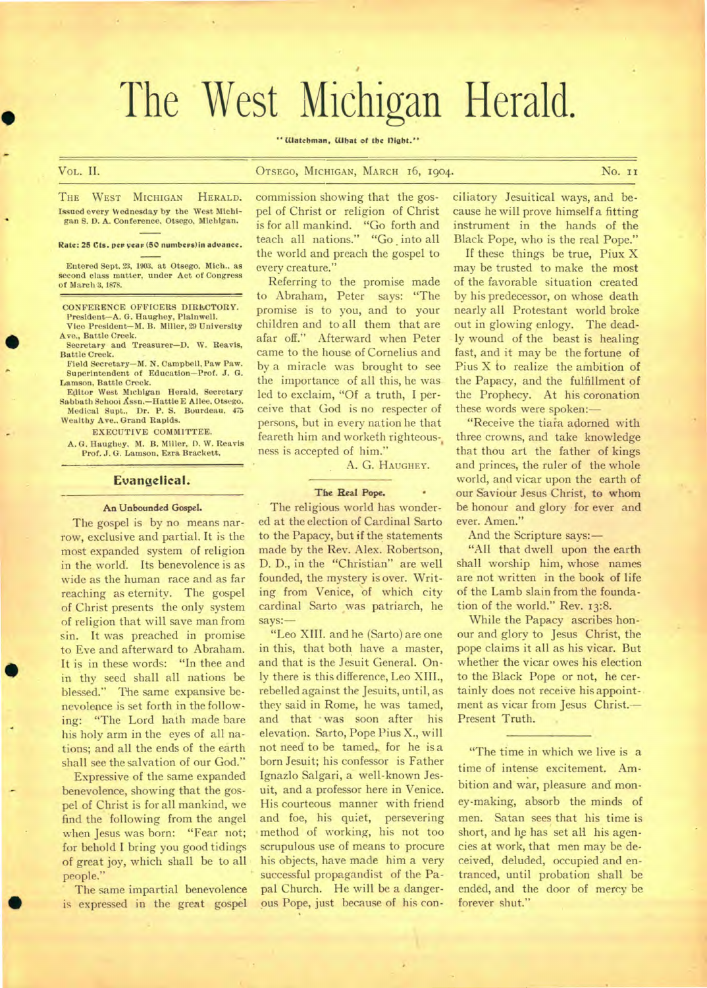# The West Michigan Herald.

" Watchman, What of the Dight."

#### Vol,. II. OTSEGO, MICHIGAN, MARCH 16, 1904. No. II

**A\*,** 

 $\blacksquare$ 

•

•

THE WEST MICHIGAN HERALD. Issued every Wednesday by the West Michigan S. O. A. Conference. Otsego, Michigan.

Rate: 25 Cts. per year (50 numbers) in advance.

Entered Sept. 23, 1903. at Otsego. Mich.. as second class matter, under Act of Congress of March 3, 1878.

CONFERENCE OFFICERS DIRECTORY. President—A. G. Haughey, Plainwell. Vice President—M. B. Miller, 29 University

Ave., Battle Creek. Secretary and Treasurer—D. W. Reavis,

Battle Creek. Field Secretary—M. N. Campbell, Paw Paw.

Superintendent of Education—Prof. J. G. Lamson, Battle Creek.

Editor West Michigan Herald, Secretary Sabbath School Assn.—Hattie E A liee, Otsego. Medical Supt., Dr. P. S. Bourdeau, 475 Wealthy Ave.. Grand Rapids.

EXECUTIVE COMMITTEE.

A. G. Haughey, M. B. Miller, D. W. Reavis Prof. J. G. Lamson, Ezra Brackett.

#### **Evangelical.**

#### **An Unbounded Gospel.**

The gospel is by no means narrow, exclusive and partial. It is the most expanded system of religion in the world. Its benevolence is as wide as the human race and as far reaching as eternity. The gospel of Christ presents the only system of religion that will save man from sin. It was preached in promise to Eve and afterward to Abraham. It is in these words: "In thee and in thy seed shall all nations be blessed." The same expansive benevolence is set forth in the following: "The Lord hath made bare his holy arm in the eyes of all nations; and all the ends of the earth shall see the salvation of our God."

Expressive of the same expanded benevolence, showing that the gospel of Christ is for all mankind, we find the following from the angel when Jesus was born: "Fear not; for behold I bring you good tidings of great joy, which shall be to all people."

The same impartial benevolence is expressed in the great gospel commission showing that the gospel of Christ or religion of Christ is for all mankind. "Go forth and teach all nations." "Go into all the world and preach the gospel to every creature."

Referring to the promise made to Abraham, Peter says: "The promise is to you, and to your children and to all them that are afar off." Afterward when Peter came to the house of Cornelius and by, a miracle was brought to see the importance of all this, he was led to exclaim, "Of a truth, I perceive that God is no respecter of persons, but in every nation he that feareth him and worketh righteous-, ness is accepted of him."

A. G. HAUGHEY.

#### The Real Pope.

The religious world has wondered at the election of Cardinal Sarto to the Papacy, but if the statements made by the Rev. Alex. Robertson, D. D., in the "Christian" are well founded, the mystery is over. Writing from Venice, of which city cardinal Sarto was patriarch, he says:—

"Leo XIII. and he (Sarto) are one in this, that both have a master, and that is the Jesuit General. Only there is this difference, Leo XIII., rebelled against the Jesuits, until, as they said in Rome, he was tamed, and that was soon after his elevation. Sarto, Pope Pius X., will not need to be tamed, for he is a born Jesuit; his confessor is Father Ignazlo Salgari, a well-known Jesuit, and a professor here in Venice. His courteous manner with friend and foe, his quiet, persevering method of working, his not too scrupulous use of means to procure his objects, have made him a very **•** successful propagandist of the Papal Church. He will be a dangerous Pope, just because of his conciliatory Jesuitical ways, and because he will prove himself a fitting instrument in the hands of the Black Pope, who is the real Pope."

If these things be true, Piux X may be trusted to make the most of the favorable situation created by his predecessor, on whose death nearly all Protestant world broke out in glowing enlogy. The deadly wound of the beast is healing fast, and it may be the fortune of Pius X to realize the ambition of the Papacy, and the fulfillment of the Prophecy. At his coronation these words were spoken:—

"Receive the tiara adorned with three crowns, and take knowledge that thou art the father of kings and princes, the ruler of the whole world, and vicar upon the earth of our Saviour Jesus Christ, to whom be honour and glory for ever and ever. Amen."

And the Scripture says:—

"All that dwell upon the earth shall worship him, whose names are not written in the book of life of the Lamb slain from the foundation of the world." Rev. 13:8.

While the Papacy ascribes honour and glory to Jesus Christ, the pope claims it all as his vicar. But whether the vicar owes his election to the Black Pope or not, he certainly does not receive his appointment as vicar from Jesus Christ.-Present Truth.

"The time in which we live is a time of intense excitement. Ambition and war, pleasure and money-making, absorb the minds of men. Satan sees that his time is short, and he has set all his agencies at work, that men may be deceived, deluded, occupied and entranced, until probation shall be ended, and the door of mercy be forever shut."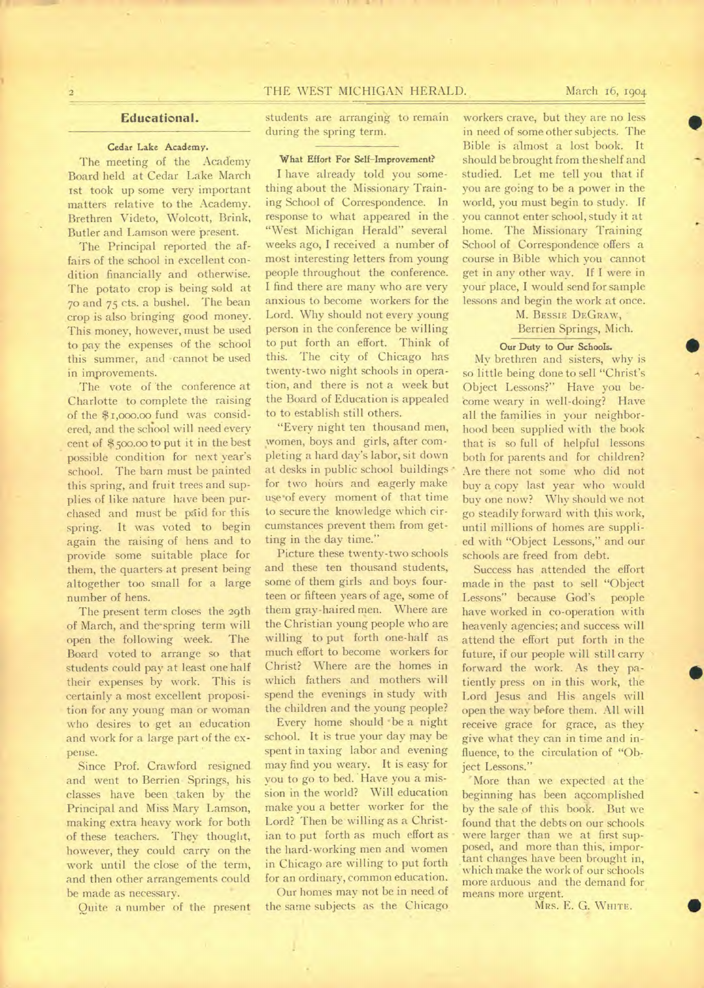## 2 **THE WEST MICHIGAN HERALD.** March 16, 1904

#### **Educational.**

#### **Cedar Lake Academy.**

The meeting of the Academy Board held at Cedar Lake March 1st took up some very important matters relative to the Academy. Brethren Videto, Wolcott, Brink, Butler and Lamson were present.

The Principal reported the affairs of the school in excellent condition financially and otherwise. The potato crop is being sold at 70 and 75 cts. a bushel. The bean crop is also bringing good money. This money, however, must be used to pay the expenses of the school this summer, and cannot be used in improvements.

The vote of the conference at Charlotte to complete the raising of the \$1,000.00 fund was considered, and the scliool will need every cent of \$5oo.00 to put it in the best possible condition for next year's school. The barn must be painted this spring, and fruit trees and supplies of like nature have been purchased and must be paid for this spring. It was voted to begin again the raising of hens and to provide some suitable place for them, the quarters at present being altogether too small for a large number of hens.

The present term closes the 29th of March, and the-spring term will open the following week. The Board voted to arrange so that students could pay at least one half their expenses by work. This is certainly a most excellent proposition for any young man or woman who desires to get an education and work for a large part of the expense.

Since Prof. Crawford resigned and went to Berrien- Springs, his classes have been taken by the Principal and Miss Mary Lamson, making extra heavy work for both of these teachers. They thought, however, they could carry on the work until the close of the term, and then other arrangements could be made as necessary.

Quite a number of the present

students are arranging to remain during the spring term.

#### **What Effort For Self-Improvement?**

I have already told you something about the Missionary Training School of Correspondence. In response to what appeared in the "West Michigan Herald" several weeks ago, I received a number of most interesting letters from young people throughout the conference. I find there are many who are very anxious to become workers for the Lord. Why should not every young person in the conference be willing to put forth an effort. Think of this. The city of Chicago has twenty-two night schools in operation, and there is not a week but the Board of Education is appealed to to establish still others.

"Every night ten thousand men, women, boys and girls, after completing a hard day's labor, sit down at desks in public school buildings for two hours and eagerly make use of every moment of that time to secure the knowledge which circumstances prevent them from getting in the day time."

Picture these twenty-two schools and these ten thousand students, some of them girls and boys fourteen or fifteen years of age, some of them gray-haired men. Where are the Christian young people who are willing to put forth one-half as much effort to become workers for Christ? Where are the homes in which fathers and mothers will spend the evenings in study with the children and the young people?

Every home should •be a night school. It is true your day may be spent in taxing labor and evening may find you weary. It is easy for you to go to bed. Have you a mission in the world? Will education make you a better worker for the Lord? Then be willing as a Christian to put forth as much effort as the hard-working men and women in Chicago are willing to put forth for an ordinary, common education.

Our homes may not be in need of the same subjects as the Chicago

workers crave, but they are no less in need of some other subjects. The Bible is almost a lost book. It should be brought from the shelf and studied. Let me tell you that if you are going to be a power in the world, you must begin to study. If you cannot enter school, study it at home. The Missionary Training School of Correspondence offers a course in Bible which you cannot get in any other way. If I were in your place, I would send for sample lessons and begin the work at once.

> M. BESSIE DEGRAW, Berrien Springs, Mich.

#### **Our Duty to Our Schools.**

My brethren and sisters, why is so little being done to sell "Christ's Object Lessons?" Have you become weary in well-doing? Have all the families in your neighborhood been supplied with the book that is so full of helpful lessons both for parents and for children? Are there not some who did not buy a copy last year who would buy one now? Why should we not go steadily forward with this work, until millions of homes are supplied with "Object Lessons," and our schools are freed from debt.

Success has attended the effort made in the past to sell "Object Lessons" because God's people have worked in co-operation with heavenly agencies; and success will attend the effort put forth in the future, if our people will still carry forward the work. As they patiently press on in this work, the Lord Jesus and His angels will open the way before them. All will receive grace for grace, as they give what they can in time and influence, to the circulation of "Object Lessons."

'More than we expected at the beginning has been accomplished by the sale of this book. But we found that the debts on our schools were larger than we at first supposed, and more than this, important changes have been brought in, which make the work of our schools more arduous and the demand for means more urgent. •

MRS. E. G. WHITE.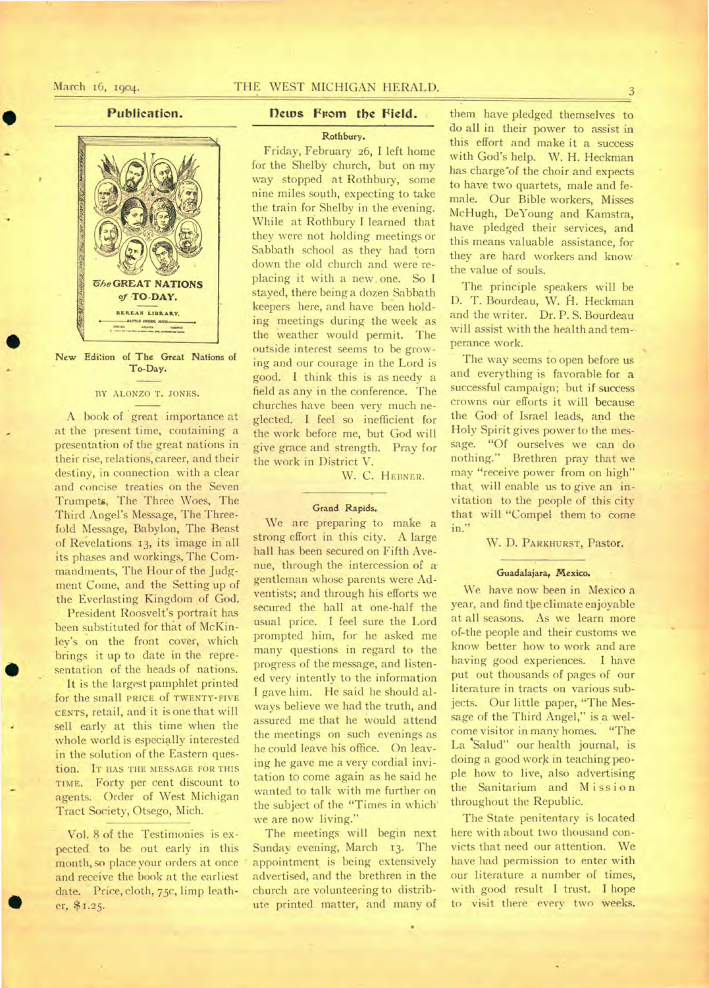# **Publication.**



**New Edition of The Great Nations of To-Day.** 

#### BY ALONZO T. JONES.

A book of 'great importance at at the present time, containing a presentation of the great nations in their rise, relations, career, and their destiny, in connection with a clear and concise treaties on the Seven Trumpets, The Three Woes, The Third Angel's Message, The Threefold Message, Babylon, The Beast of Revelations 13, its image in all its phases and workings, The Commandments, The Hour of the Judgment Come, and the Setting up of the Everlasting Kingdom of God.

President Roosvelt's portrait has been substituted for that of McKinley's on the front cover, which brings it up to date in the representation of the heads of nations.

It is the largest pamphlet printed for the small PRICE Of TWENTY-FIVE CENTS, retail, and it is one that will sell early at this time when the whole world is especially interested in the solution of the Eastern question. IT HAS THE MESSAGE FOR THIS TIME. Forty per cent discount to agents. Order of West Michigan Tract Society, Otsego, Mich.

Vol. 8 of the Testimonies is expected to be out early in this month, so place your orders at once and receive the book at the earliest date. Price, cloth, 75c, limp leather, \$1.25.

 $\bullet$ 

# **Dews From the Field.**

**Rothbury.** 

Friday, February 26, I left home for the Shelby church, but on my way stopped at Rothbury, some nine miles south, expecting to take the train for Shelby in the evening. While at Rothbury I learned that they were not holding meetings or Sabbath school as they had torn down the old church and were replacing it with a new, one. So I stayed, there being a dozen Sabbath keepers here, and have been holding meetings during the week as the weather would permit. The outside interest seems to be growing and our courage in the Lord is good. I think this is as needy a field as any in the conference. The churches have been very much neglected. I feel so inefficient for the work before me, but God will give grace and strength. Pray for the work in District V.

W. C. HEBNER.

#### **Grand Rapids.**

We are preparing to make a strong effort in this city. A large hall has been secured on Fifth Avenue, through the intercession of a gentleman whose parents were Adventists; and through his efforts we secured the hall at one-half the usual price. I feel sure the Lord prompted him, for he asked me many questions in regard to the progress of the message, and listened very intently to the information I gave him. He said he should always believe we had the truth, and assured me that he would attend the meetings on such evenings as he could leave his office. On leaving he gave me a very cordial invitation to come again as he said he wanted to talk with me further on the subject of the "Times in which. we are now living."

The meetings will begin next Sunday evening, March 13. The appointment is being extensively advertised, and the brethren in the church are volunteering to distribute printed matter, and many of them have pledged themselves to do all in their power to assist in this effort and make it a success with God's help. W. H. Heckman has charge"of the choir and expects to have two quartets, male and female. Our Bible workers, Misses McHugh, DeYoung and Kamstra, have pledged their services, and this means valuable assistance, for they are hard workers and know the value of souls.

The principle speakers will be D. T. Bourdeau, W. H. Heckman and the writer. Dr. P. S. Bourdeau will assist with the health and temperance work.

The way seems to open before us and everything is favorable for a successful campaign; but if success crowns our efforts it will because the God-of Israel leads, and the Holy Spirit gives power to the message. "Of ourselves we can do nothing." Brethren pray that we may "receive power from on high" that will enable us to give an invitation to the people of this city that will "Compel them to come in."

W. D. PARKHURST, Pastor.

#### **Guadalajara, Mexico. •**

We have now been in Mexico a year, and find tbe climate enjoyable at all seasons. As we learn more of-the people and their customs we know better how to work and are having good experiences. I have put out thousands of pages of our literature in tracts on various subjects. Our little paper, "The Message of the Third Angel," is a welcome visitor in many homes. "The La 'Salud'' our health journal, is doing a good work in teaching people how to live, also advertising the Sanitarium and Mission throughout the Republic.

The State penitentary is located here with about two thousand convicts that need our attention. We have had permission to enter with our literature a number of times, with good result I trust. I hope to visit there every two weeks.